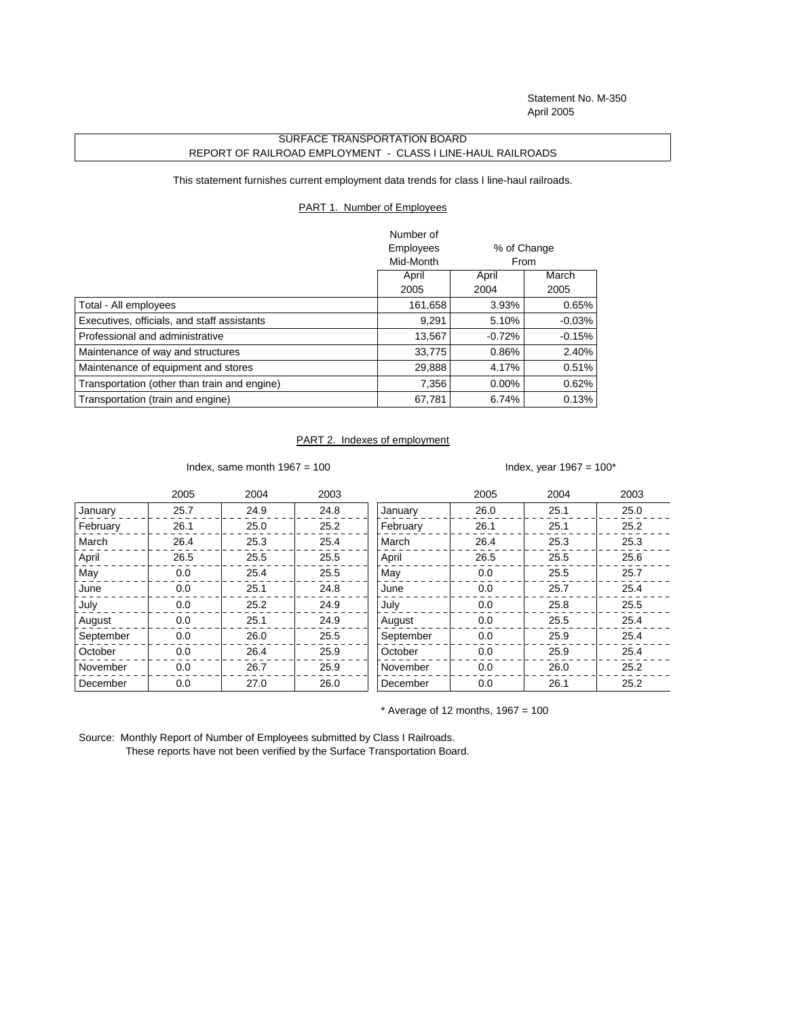Statement No. M-350 April 2005

## SURFACE TRANSPORTATION BOARD REPORT OF RAILROAD EMPLOYMENT - CLASS I LINE-HAUL RAILROADS

This statement furnishes current employment data trends for class I line-haul railroads.

## PART 1. Number of Employees

|                                              | Number of |             |           |
|----------------------------------------------|-----------|-------------|-----------|
|                                              | Employees | % of Change |           |
|                                              | Mid-Month | From        |           |
|                                              | April     | April       | March     |
|                                              | 2005      | 2004        | 2005      |
| Total - All employees                        | 161,658   | 3.93%       | 0.65%     |
| Executives, officials, and staff assistants  | 9,291     | 5.10%       | $-0.03\%$ |
| Professional and administrative              | 13,567    | $-0.72%$    | $-0.15%$  |
| Maintenance of way and structures            | 33,775    | 0.86%       | 2.40%     |
| Maintenance of equipment and stores          | 29,888    | 4.17%       | 0.51%     |
| Transportation (other than train and engine) | 7,356     | $0.00\%$    | 0.62%     |
| Transportation (train and engine)            | 67,781    | 6.74%       | 0.13%     |

## PART 2. Indexes of employment

Index, same month  $1967 = 100$  Index, year  $1967 = 100^*$ 

|           | 2005 | 2004 | 2003 |           | 2005 | 2004 | 2003 |
|-----------|------|------|------|-----------|------|------|------|
| January   | 25.7 | 24.9 | 24.8 | January   | 26.0 | 25.1 | 25.0 |
| February  | 26.1 | 25.0 | 25.2 | February  | 26.1 | 25.1 | 25.2 |
| March     | 26.4 | 25.3 | 25.4 | March     | 26.4 | 25.3 | 25.3 |
| April     | 26.5 | 25.5 | 25.5 | April     | 26.5 | 25.5 | 25.6 |
| May       | 0.0  | 25.4 | 25.5 | May       | 0.0  | 25.5 | 25.7 |
| June      | 0.0  | 25.1 | 24.8 | June      | 0.0  | 25.7 | 25.4 |
| July      | 0.0  | 25.2 | 24.9 | July      | 0.0  | 25.8 | 25.5 |
| August    | 0.0  | 25.1 | 24.9 | August    | 0.0  | 25.5 | 25.4 |
| September | 0.0  | 26.0 | 25.5 | September | 0.0  | 25.9 | 25.4 |
| October   | 0.0  | 26.4 | 25.9 | October   | 0.0  | 25.9 | 25.4 |
| November  | 0.0  | 26.7 | 25.9 | November  | 0.0  | 26.0 | 25.2 |
| December  | 0.0  | 27.0 | 26.0 | December  | 0.0  | 26.1 | 25.2 |

 $*$  Average of 12 months, 1967 = 100

Source: Monthly Report of Number of Employees submitted by Class I Railroads. These reports have not been verified by the Surface Transportation Board.